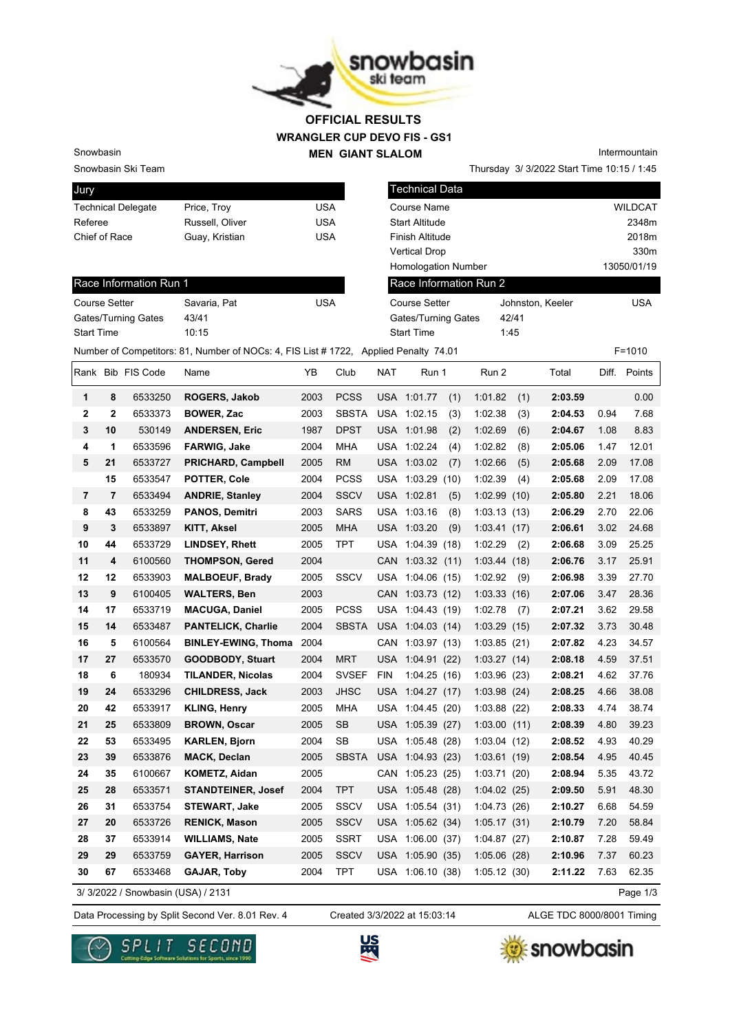

## **WRANGLER CUP DEVO FIS - GS1 MEN GIANT SLALOM OFFICIAL RESULTS**

Snowbasin Ski Team

Snowbasin

| Jury                      |                 |     |
|---------------------------|-----------------|-----|
| <b>Technical Delegate</b> | Price, Troy     | USA |
| Referee                   | Russell, Oliver | USA |
| Chief of Race             | Guay, Kristian  | USA |
|                           |                 |     |

| Intermountain                              |
|--------------------------------------------|
| Thursday 3/ 3/2022 Start Time 10:15 / 1:45 |

| Jury                      |                                                                                     |            | l Technical Data           |                  |                |
|---------------------------|-------------------------------------------------------------------------------------|------------|----------------------------|------------------|----------------|
| <b>Technical Delegate</b> | Price, Troy                                                                         | <b>USA</b> | Course Name                |                  | <b>WILDCAT</b> |
| Referee                   | Russell, Oliver                                                                     | <b>USA</b> | <b>Start Altitude</b>      |                  | 2348m          |
| Chief of Race             | Guay, Kristian                                                                      | <b>USA</b> | Finish Altitude            |                  | 2018m          |
|                           |                                                                                     |            | <b>Vertical Drop</b>       |                  | 330m           |
|                           |                                                                                     |            | <b>Homologation Number</b> |                  | 13050/01/19    |
| Race Information Run 1    |                                                                                     |            | Race Information Run 2     |                  |                |
| Course Setter             | Savaria, Pat                                                                        | <b>USA</b> | Course Setter              | Johnston, Keeler | <b>USA</b>     |
| Gates/Turning Gates       | 43/41                                                                               |            | Gates/Turning Gates        | 42/41            |                |
| <b>Start Time</b>         | 10:15                                                                               |            | <b>Start Time</b>          | 1:45             |                |
|                           | Number of Competitors: 81, Number of NOCs: 4, FIS List #1722, Applied Penalty 74.01 |            |                            |                  | $F = 1010$     |

| Savaria, Pat | USA |
|--------------|-----|
| 43/41        |     |
| 10.15        |     |
|              |     |

|             |                | Rank Bib FIS Code | Name                       | YB   | Club         | NAT        | Run 1            |     | Run 2        |     | Total   | Diff. | Points |
|-------------|----------------|-------------------|----------------------------|------|--------------|------------|------------------|-----|--------------|-----|---------|-------|--------|
| 1           | 8              | 6533250           | ROGERS, Jakob              | 2003 | <b>PCSS</b>  |            | USA 1:01.77      | (1) | 1:01.82      | (1) | 2:03.59 |       | 0.00   |
| 2           | $\overline{2}$ | 6533373           | <b>BOWER, Zac</b>          | 2003 | <b>SBSTA</b> |            | USA 1:02.15      | (3) | 1:02.38      | (3) | 2:04.53 | 0.94  | 7.68   |
| $\mathbf 3$ | 10             | 530149            | <b>ANDERSEN, Eric</b>      | 1987 | <b>DPST</b>  |            | USA 1:01.98      | (2) | 1:02.69      | (6) | 2:04.67 | 1.08  | 8.83   |
| 4           | $\mathbf 1$    | 6533596           | <b>FARWIG, Jake</b>        | 2004 | <b>MHA</b>   |            | USA 1:02.24      | (4) | 1:02.82      | (8) | 2:05.06 | 1.47  | 12.01  |
| 5           | 21             | 6533727           | <b>PRICHARD, Campbell</b>  | 2005 | <b>RM</b>    |            | USA 1:03.02      | (7) | 1:02.66      | (5) | 2:05.68 | 2.09  | 17.08  |
|             | 15             | 6533547           | <b>POTTER, Cole</b>        | 2004 | <b>PCSS</b>  | USA        | 1:03.29(10)      |     | 1:02.39      | (4) | 2:05.68 | 2.09  | 17.08  |
| 7           | 7              | 6533494           | <b>ANDRIE, Stanley</b>     | 2004 | <b>SSCV</b>  |            | USA 1:02.81      | (5) | 1:02.99(10)  |     | 2:05.80 | 2.21  | 18.06  |
| 8           | 43             | 6533259           | <b>PANOS, Demitri</b>      | 2003 | <b>SARS</b>  | USA        | 1:03.16          | (8) | 1:03.13(13)  |     | 2:06.29 | 2.70  | 22.06  |
| 9           | 3              | 6533897           | <b>KITT, Aksel</b>         | 2005 | <b>MHA</b>   |            | USA 1:03.20      | (9) | 1:03.41(17)  |     | 2:06.61 | 3.02  | 24.68  |
| 10          | 44             | 6533729           | <b>LINDSEY, Rhett</b>      | 2005 | TPT          |            | USA 1:04.39 (18) |     | 1:02.29      | (2) | 2:06.68 | 3.09  | 25.25  |
| 11          | 4              | 6100560           | <b>THOMPSON, Gered</b>     | 2004 |              |            | CAN 1:03.32 (11) |     | 1:03.44(18)  |     | 2:06.76 | 3.17  | 25.91  |
| 12          | 12             | 6533903           | <b>MALBOEUF, Brady</b>     | 2005 | <b>SSCV</b>  |            | USA 1:04.06 (15) |     | 1:02.92      | (9) | 2:06.98 | 3.39  | 27.70  |
| 13          | 9              | 6100405           | <b>WALTERS, Ben</b>        | 2003 |              |            | CAN 1:03.73 (12) |     | 1:03.33(16)  |     | 2:07.06 | 3.47  | 28.36  |
| 14          | 17             | 6533719           | <b>MACUGA, Daniel</b>      | 2005 | <b>PCSS</b>  |            | USA 1:04.43 (19) |     | 1:02.78      | (7) | 2:07.21 | 3.62  | 29.58  |
| 15          | 14             | 6533487           | <b>PANTELICK, Charlie</b>  | 2004 | <b>SBSTA</b> |            | USA 1:04.03 (14) |     | 1:03.29(15)  |     | 2:07.32 | 3.73  | 30.48  |
| 16          | 5              | 6100564           | <b>BINLEY-EWING, Thoma</b> | 2004 |              | <b>CAN</b> | 1:03.97(13)      |     | 1:03.85(21)  |     | 2:07.82 | 4.23  | 34.57  |
| 17          | 27             | 6533570           | <b>GOODBODY, Stuart</b>    | 2004 | <b>MRT</b>   |            | USA 1:04.91 (22) |     | 1:03.27(14)  |     | 2:08.18 | 4.59  | 37.51  |
| 18          | 6              | 180934            | <b>TILANDER, Nicolas</b>   | 2004 | <b>SVSEF</b> | <b>FIN</b> | 1:04.25(16)      |     | 1:03.96(23)  |     | 2:08.21 | 4.62  | 37.76  |
| 19          | 24             | 6533296           | <b>CHILDRESS, Jack</b>     | 2003 | <b>JHSC</b>  |            | USA 1:04.27 (17) |     | 1:03.98(24)  |     | 2:08.25 | 4.66  | 38.08  |
| 20          | 42             | 6533917           | <b>KLING, Henry</b>        | 2005 | <b>MHA</b>   |            | USA 1:04.45 (20) |     | 1:03.88(22)  |     | 2:08.33 | 4.74  | 38.74  |
| 21          | 25             | 6533809           | <b>BROWN, Oscar</b>        | 2005 | <b>SB</b>    |            | USA 1:05.39 (27) |     | 1:03.00(11)  |     | 2:08.39 | 4.80  | 39.23  |
| 22          | 53             | 6533495           | <b>KARLEN, Bjorn</b>       | 2004 | SB           | USA        | 1:05.48(28)      |     | 1:03.04(12)  |     | 2:08.52 | 4.93  | 40.29  |
| 23          | 39             | 6533876           | <b>MACK, Declan</b>        | 2005 | <b>SBSTA</b> |            | USA 1:04.93 (23) |     | 1:03.61(19)  |     | 2:08.54 | 4.95  | 40.45  |
| 24          | 35             | 6100667           | KOMETZ, Aidan              | 2005 |              | CAN        | 1:05.23(25)      |     | 1:03.71(20)  |     | 2:08.94 | 5.35  | 43.72  |
| 25          | 28             | 6533571           | <b>STANDTEINER, Josef</b>  | 2004 | <b>TPT</b>   |            | USA 1:05.48 (28) |     | 1:04.02(25)  |     | 2:09.50 | 5.91  | 48.30  |
| 26          | 31             | 6533754           | <b>STEWART, Jake</b>       | 2005 | <b>SSCV</b>  |            | USA 1:05.54 (31) |     | 1:04.73 (26) |     | 2:10.27 | 6.68  | 54.59  |
| 27          | 20             | 6533726           | <b>RENICK, Mason</b>       | 2005 | <b>SSCV</b>  |            | USA 1:05.62 (34) |     | 1:05.17(31)  |     | 2:10.79 | 7.20  | 58.84  |
| 28          | 37             | 6533914           | <b>WILLIAMS, Nate</b>      | 2005 | <b>SSRT</b>  | USA        | 1:06.00 (37)     |     | 1:04.87 (27) |     | 2:10.87 | 7.28  | 59.49  |
| 29          | 29             | 6533759           | <b>GAYER, Harrison</b>     | 2005 | <b>SSCV</b>  | USA        | 1:05.90(35)      |     | 1:05.06(28)  |     | 2:10.96 | 7.37  | 60.23  |
| 30          | 67             | 6533468           | GAJAR, Toby                | 2004 | <b>TPT</b>   |            | USA 1:06.10 (38) |     | 1:05.12(30)  |     | 2:11.22 | 7.63  | 62.35  |

3/ 3/2022 / Snowbasin (USA) / 2131

Created 3/3/2022 at 15:03:14

Data Processing by Split Second Ver. 8.01 Rev. 4 Created 3/3/2022 at 15:03:14 ALGE TDC 8000/8001 Timing

Page 1/3





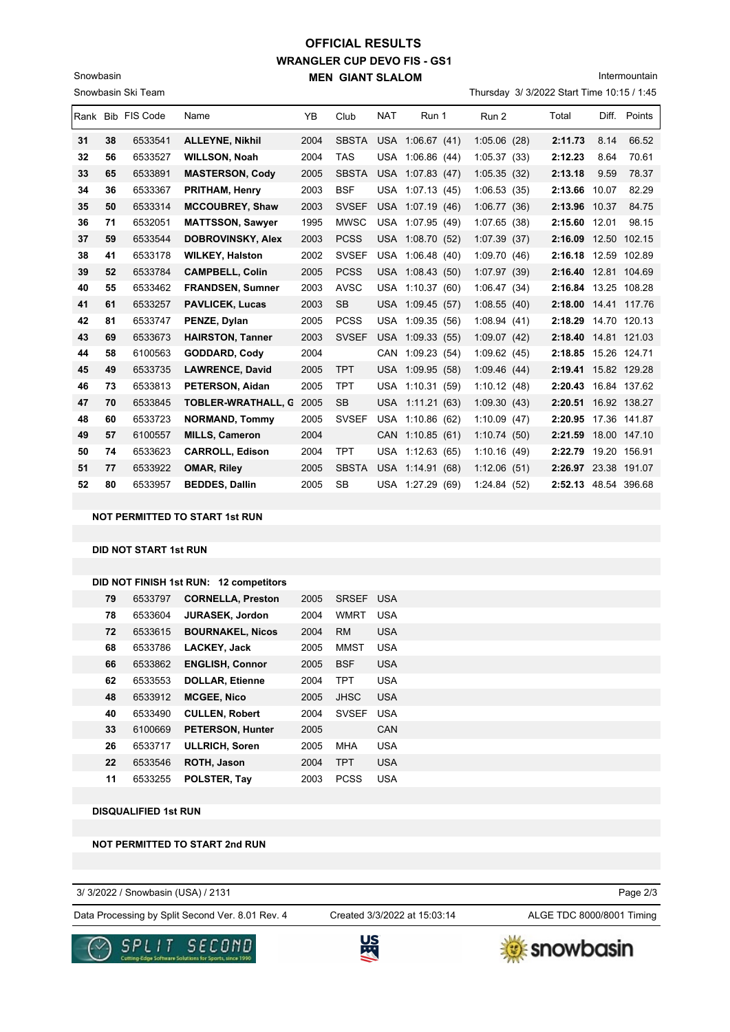## **WRANGLER CUP DEVO FIS - GS1 MEN GIANT SLALOM OFFICIAL RESULTS**

Intermountain

|    | Snowbasin Ski Team<br>Thursday 3/ 3/2022 Start Time 10:15 / 1:45 |                   |                           |      |              |            |                     |                 |                      |       |              |
|----|------------------------------------------------------------------|-------------------|---------------------------|------|--------------|------------|---------------------|-----------------|----------------------|-------|--------------|
|    |                                                                  | Rank Bib FIS Code | Name                      | YB   | Club         | <b>NAT</b> | Run 1               | Run 2           | Total                | Diff. | Points       |
| 31 | 38                                                               | 6533541           | <b>ALLEYNE, Nikhil</b>    | 2004 | <b>SBSTA</b> | <b>USA</b> | 1:06.67(41)         | 1:05.06(28)     | 2:11.73              | 8.14  | 66.52        |
| 32 | 56                                                               | 6533527           | <b>WILLSON, Noah</b>      | 2004 | <b>TAS</b>   | USA        | 1:06.86(44)         | 1:05.37(33)     | 2:12.23              | 8.64  | 70.61        |
| 33 | 65                                                               | 6533891           | <b>MASTERSON, Cody</b>    | 2005 | <b>SBSTA</b> | <b>USA</b> | 1:07.83(47)         | 1:05.35(32)     | 2:13.18              | 9.59  | 78.37        |
| 34 | 36                                                               | 6533367           | <b>PRITHAM, Henry</b>     | 2003 | <b>BSF</b>   | USA        | 1:07.13(45)         | 1:06.53(35)     | 2:13.66              | 10.07 | 82.29        |
| 35 | 50                                                               | 6533314           | <b>MCCOUBREY, Shaw</b>    | 2003 | <b>SVSEF</b> |            | USA 1:07.19 (46)    | 1:06.77(36)     | 2:13.96              | 10.37 | 84.75        |
| 36 | 71                                                               | 6532051           | <b>MATTSSON, Sawyer</b>   | 1995 | <b>MWSC</b>  | USA        | 1:07.95(49)         | 1:07.65(38)     | 2:15.60              | 12.01 | 98.15        |
| 37 | 59                                                               | 6533544           | <b>DOBROVINSKY, Alex</b>  | 2003 | <b>PCSS</b>  |            | USA 1:08.70 (52)    | 1:07.39(37)     | 2:16.09              | 12.50 | 102.15       |
| 38 | 41                                                               | 6533178           | <b>WILKEY, Halston</b>    | 2002 | <b>SVSEF</b> | <b>USA</b> | 1:06.48(40)         | 1:09.70(46)     | 2:16.18              |       | 12.59 102.89 |
| 39 | 52                                                               | 6533784           | <b>CAMPBELL, Colin</b>    | 2005 | <b>PCSS</b>  |            | USA 1:08.43 (50)    | 1:07.97 (39)    | 2:16.40              |       | 12.81 104.69 |
| 40 | 55                                                               | 6533462           | <b>FRANDSEN, Sumner</b>   | 2003 | <b>AVSC</b>  | USA        | 1:10.37(60)         | 1:06.47(34)     | 2:16.84              |       | 13.25 108.28 |
| 41 | 61                                                               | 6533257           | <b>PAVLICEK, Lucas</b>    | 2003 | <b>SB</b>    |            | USA 1:09.45 (57)    | 1:08.55(40)     | 2:18.00              |       | 14.41 117.76 |
| 42 | 81                                                               | 6533747           | PENZE, Dylan              | 2005 | <b>PCSS</b>  | USA        | 1:09.35(56)         | 1:08.94(41)     | 2:18.29              |       | 14.70 120.13 |
| 43 | 69                                                               | 6533673           | <b>HAIRSTON, Tanner</b>   | 2003 | <b>SVSEF</b> |            | USA 1:09.33 (55)    | 1:09.07(42)     | 2:18.40              |       | 14.81 121.03 |
| 44 | 58                                                               | 6100563           | <b>GODDARD, Cody</b>      | 2004 |              | <b>CAN</b> | 1:09.23(54)         | 1:09.62(45)     | 2:18.85              |       | 15.26 124.71 |
| 45 | 49                                                               | 6533735           | <b>LAWRENCE, David</b>    | 2005 | <b>TPT</b>   | <b>USA</b> | 1:09.95(58)         | 1:09.46(44)     | 2:19.41 15.82 129.28 |       |              |
| 46 | 73                                                               | 6533813           | PETERSON, Aidan           | 2005 | <b>TPT</b>   | USA        | 1:10.31(59)         | 1:10.12(48)     | 2:20.43              |       | 16.84 137.62 |
| 47 | 70                                                               | 6533845           | <b>TOBLER-WRATHALL, C</b> | 2005 | <b>SB</b>    |            | USA 1:11.21 (63)    | 1:09.30(43)     | 2:20.51 16.92 138.27 |       |              |
| 48 | 60                                                               | 6533723           | <b>NORMAND, Tommy</b>     | 2005 | <b>SVSEF</b> | USA        | 1:10.86(62)         | 1:10.09(47)     | 2:20.95              |       | 17.36 141.87 |
| 49 | 57                                                               | 6100557           | <b>MILLS, Cameron</b>     | 2004 |              |            | CAN 1:10.85 (61)    | 1:10.74(50)     | 2:21.59              |       | 18.00 147.10 |
| 50 | 74                                                               | 6533623           | <b>CARROLL, Edison</b>    | 2004 | <b>TPT</b>   | <b>USA</b> | 1:12.63(65)         | 1:10.16(49)     | 2:22.79              |       | 19.20 156.91 |
| 51 | 77                                                               | 6533922           | <b>OMAR, Riley</b>        | 2005 | <b>SBSTA</b> | <b>USA</b> | 1:14.91(68)         | 1:12.06(51)     | 2:26.97 23.38 191.07 |       |              |
| 52 | 80                                                               | 6533957           | <b>BEDDES, Dallin</b>     | 2005 | <b>SB</b>    |            | USA 1:27.29<br>(69) | 1:24.84<br>(52) | 2:52.13 48.54 396.68 |       |              |

### **NOT PERMITTED TO START 1st RUN**

#### **DID NOT START 1st RUN**

Snowbasin

|    | 6533797 | <b>CORNELLA, Preston</b> | 2005 | <b>SRSEF</b> | USA        |
|----|---------|--------------------------|------|--------------|------------|
| 78 | 6533604 | <b>JURASEK, Jordon</b>   | 2004 | <b>WMRT</b>  | <b>USA</b> |
| 72 | 6533615 | <b>BOURNAKEL, Nicos</b>  | 2004 | <b>RM</b>    | <b>USA</b> |
| 68 | 6533786 | <b>LACKEY, Jack</b>      | 2005 | <b>MMST</b>  | <b>USA</b> |
| 66 | 6533862 | <b>ENGLISH, Connor</b>   | 2005 | <b>BSF</b>   | <b>USA</b> |
| 62 | 6533553 | <b>DOLLAR, Etienne</b>   | 2004 | <b>TPT</b>   | <b>USA</b> |
| 48 | 6533912 | <b>MCGEE, Nico</b>       | 2005 | <b>JHSC</b>  | <b>USA</b> |
| 40 | 6533490 | <b>CULLEN, Robert</b>    | 2004 | <b>SVSEF</b> | <b>USA</b> |
| 33 | 6100669 | <b>PETERSON, Hunter</b>  | 2005 |              | CAN        |
| 26 | 6533717 | <b>ULLRICH, Soren</b>    | 2005 | <b>MHA</b>   | <b>USA</b> |
| 22 | 6533546 | ROTH, Jason              | 2004 | <b>TPT</b>   | <b>USA</b> |
| 11 | 6533255 | POLSTER, Tay             | 2003 | <b>PCSS</b>  | <b>USA</b> |
|    | 79      |                          |      |              |            |

**DISQUALIFIED 1st RUN**

#### **NOT PERMITTED TO START 2nd RUN**

3/ 3/2022 / Snowbasin (USA) / 2131

Data Processing by Split Second Ver. 8.01 Rev. 4 Created 3/3/2022 at 15:03:14 ALGE TDC 8000/8001 Timing Created 3/3/2022 at 15:03:14

Page 2/3